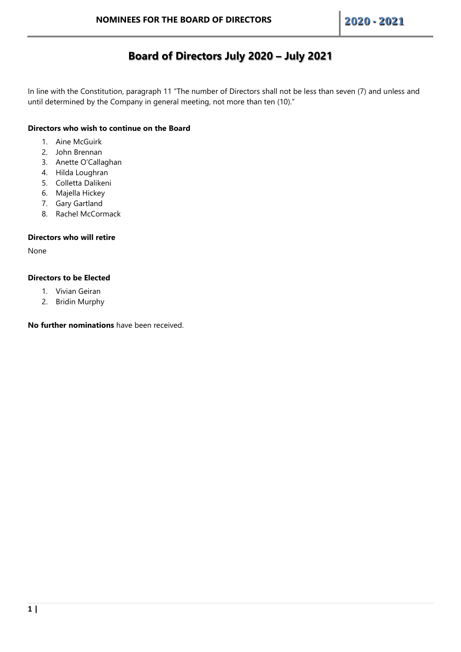# **Board of Directors July 2020 – July 2021**

In line with the Constitution, paragraph 11 "The number of Directors shall not be less than seven (7) and unless and until determined by the Company in general meeting, not more than ten (10)."

## **Directors who wish to continue on the Board**

- 1. Aine McGuirk
- 2. John Brennan
- 3. Anette O'Callaghan
- 4. Hilda Loughran
- 5. Colletta Dalikeni
- 6. Majella Hickey
- 7. Gary Gartland
- 8. Rachel McCormack

## **Directors who will retire**

None

## **Directors to be Elected**

- 1. Vivian Geiran
- 2. Bridin Murphy

**No further nominations** have been received.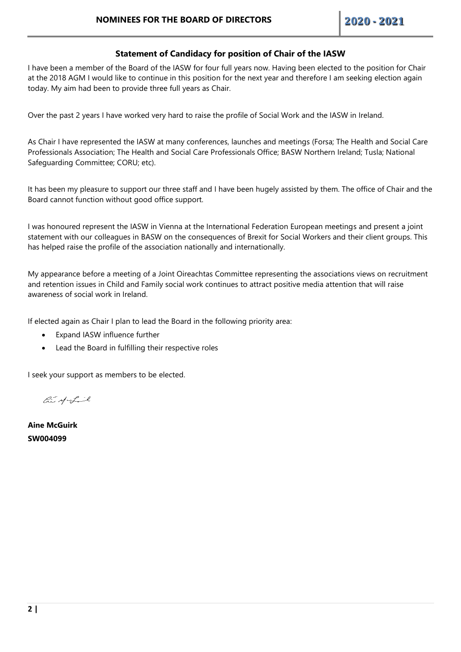# **Statement of Candidacy for position of Chair of the IASW**

I have been a member of the Board of the IASW for four full years now. Having been elected to the position for Chair at the 2018 AGM I would like to continue in this position for the next year and therefore I am seeking election again today. My aim had been to provide three full years as Chair.

Over the past 2 years I have worked very hard to raise the profile of Social Work and the IASW in Ireland.

As Chair I have represented the IASW at many conferences, launches and meetings (Forsa; The Health and Social Care Professionals Association; The Health and Social Care Professionals Office; BASW Northern Ireland; Tusla; National Safeguarding Committee; CORU; etc).

It has been my pleasure to support our three staff and I have been hugely assisted by them. The office of Chair and the Board cannot function without good office support.

I was honoured represent the IASW in Vienna at the International Federation European meetings and present a joint statement with our colleagues in BASW on the consequences of Brexit for Social Workers and their client groups. This has helped raise the profile of the association nationally and internationally.

My appearance before a meeting of a Joint Oireachtas Committee representing the associations views on recruitment and retention issues in Child and Family social work continues to attract positive media attention that will raise awareness of social work in Ireland.

If elected again as Chair I plan to lead the Board in the following priority area:

- Expand IASW influence further
- Lead the Board in fulfilling their respective roles

I seek your support as members to be elected.

 $\mathcal{L}$  of  $\mathcal{L}$ 

**Aine McGuirk SW004099**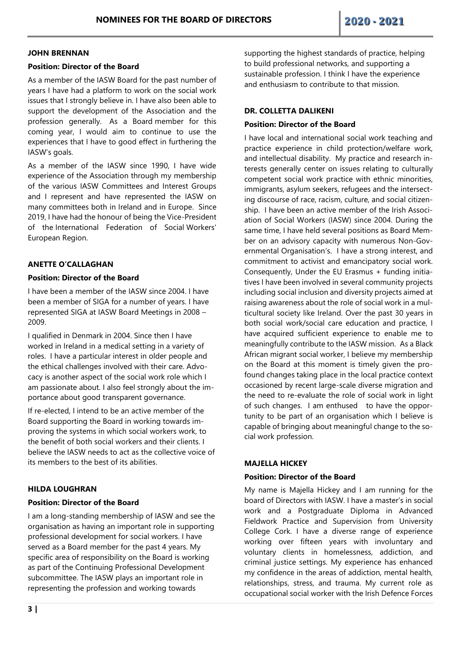#### **JOHN BRENNAN**

#### **Position: Director of the Board**

As a member of the IASW Board for the past number of years I have had a platform to work on the social work issues that I strongly believe in. I have also been able to support the development of the Association and the profession generally. As a Board member for this coming year, I would aim to continue to use the experiences that I have to good effect in furthering the IASW's goals.

As a member of the IASW since 1990, I have wide experience of the Association through my membership of the various IASW Committees and Interest Groups and I represent and have represented the IASW on many committees both in Ireland and in Europe. Since 2019, I have had the honour of being the Vice-President of the International Federation of Social Workers' European Region.

## **ANETTE O'CALLAGHAN**

#### **Position: Director of the Board**

I have been a member of the IASW since 2004. I have been a member of SIGA for a number of years. I have represented SIGA at IASW Board Meetings in 2008 – 2009.

I qualified in Denmark in 2004. Since then I have worked in Ireland in a medical setting in a variety of roles. I have a particular interest in older people and the ethical challenges involved with their care. Advocacy is another aspect of the social work role which I am passionate about. I also feel strongly about the importance about good transparent governance.

If re-elected, I intend to be an active member of the Board supporting the Board in working towards improving the systems in which social workers work, to the benefit of both social workers and their clients. I believe the IASW needs to act as the collective voice of its members to the best of its abilities.

#### **HILDA LOUGHRAN**

#### **Position: Director of the Board**

I am a long-standing membership of IASW and see the organisation as having an important role in supporting professional development for social workers. I have served as a Board member for the past 4 years. My specific area of responsibility on the Board is working as part of the Continuing Professional Development subcommittee. The IASW plays an important role in representing the profession and working towards

supporting the highest standards of practice, helping to build professional networks, and supporting a sustainable profession. I think I have the experience and enthusiasm to contribute to that mission.

## **DR. COLLETTA DALIKENI**

#### **Position: Director of the Board**

I have local and international social work teaching and practice experience in child protection/welfare work, and intellectual disability. My practice and research interests generally center on issues relating to culturally competent social work practice with ethnic minorities, immigrants, asylum seekers, refugees and the intersecting discourse of race, racism, culture, and social citizenship. I have been an active member of the Irish Association of Social Workers (IASW) since 2004. During the same time, I have held several positions as Board Member on an advisory capacity with numerous Non-Governmental Organisation's. I have a strong interest, and commitment to activist and emancipatory social work. Consequently, Under the EU Erasmus + funding initiatives I have been involved in several community projects including social inclusion and diversity projects aimed at raising awareness about the role of social work in a multicultural society like Ireland. Over the past 30 years in both social work/social care education and practice, I have acquired sufficient experience to enable me to meaningfully contribute to the IASW mission. As a Black African migrant social worker, I believe my membership on the Board at this moment is timely given the profound changes taking place in the local practice context occasioned by recent large-scale diverse migration and the need to re-evaluate the role of social work in light of such changes. I am enthused to have the opportunity to be part of an organisation which I believe is capable of bringing about meaningful change to the social work profession.

#### **MAJELLA HICKEY**

#### **Position: Director of the Board**

My name is Majella Hickey and I am running for the board of Directors with IASW. I have a master's in social work and a Postgraduate Diploma in Advanced Fieldwork Practice and Supervision from University College Cork. I have a diverse range of experience working over fifteen years with involuntary and voluntary clients in homelessness, addiction, and criminal justice settings. My experience has enhanced my confidence in the areas of addiction, mental health, relationships, stress, and trauma. My current role as occupational social worker with the Irish Defence Forces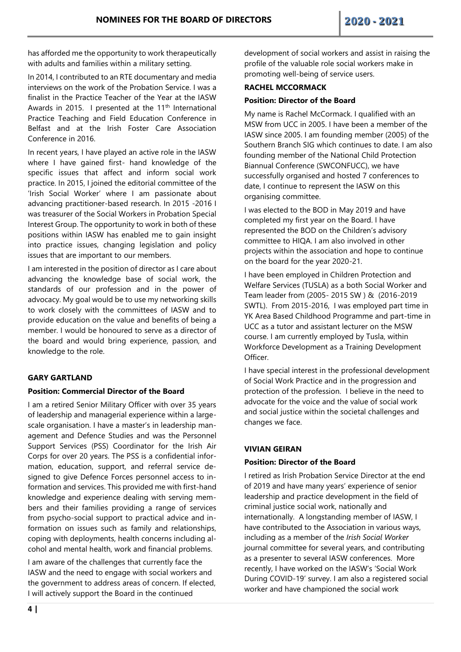has afforded me the opportunity to work therapeutically with adults and families within a military setting.

In 2014, I contributed to an RTE documentary and media interviews on the work of the Probation Service. I was a finalist in the Practice Teacher of the Year at the IASW Awards in 2015. I presented at the 11<sup>th</sup> International Practice Teaching and Field Education Conference in Belfast and at the Irish Foster Care Association Conference in 2016.

In recent years, I have played an active role in the IASW where I have gained first- hand knowledge of the specific issues that affect and inform social work practice. In 2015, I joined the editorial committee of the 'Irish Social Worker' where I am passionate about advancing practitioner-based research. In 2015 -2016 I was treasurer of the Social Workers in Probation Special Interest Group. The opportunity to work in both of these positions within IASW has enabled me to gain insight into practice issues, changing legislation and policy issues that are important to our members.

I am interested in the position of director as I care about advancing the knowledge base of social work, the standards of our profession and in the power of advocacy. My goal would be to use my networking skills to work closely with the committees of IASW and to provide education on the value and benefits of being a member. I would be honoured to serve as a director of the board and would bring experience, passion, and knowledge to the role.

# **GARY GARTLAND**

#### **Position: Commercial Director of the Board**

I am a retired Senior Military Officer with over 35 years of leadership and managerial experience within a largescale organisation. I have a master's in leadership management and Defence Studies and was the Personnel Support Services (PSS) Coordinator for the Irish Air Corps for over 20 years. The PSS is a confidential information, education, support, and referral service designed to give Defence Forces personnel access to information and services. This provided me with first-hand knowledge and experience dealing with serving members and their families providing a range of services from psycho-social support to practical advice and information on issues such as family and relationships, coping with deployments, health concerns including alcohol and mental health, work and financial problems.

I am aware of the challenges that currently face the IASW and the need to engage with social workers and the government to address areas of concern. If elected, I will actively support the Board in the continued

development of social workers and assist in raising the profile of the valuable role social workers make in promoting well-being of service users.

#### **RACHEL MCCORMACK**

#### **Position: Director of the Board**

My name is Rachel McCormack. I qualified with an MSW from UCC in 2005. I have been a member of the IASW since 2005. I am founding member (2005) of the Southern Branch SIG which continues to date. I am also founding member of the National Child Protection Biannual Conference (SWCONFUCC), we have successfully organised and hosted 7 conferences to date, I continue to represent the IASW on this organising committee.

I was elected to the BOD in May 2019 and have completed my first year on the Board. I have represented the BOD on the Children's advisory committee to HIQA. I am also involved in other projects within the association and hope to continue on the board for the year 2020-21.

I have been employed in Children Protection and Welfare Services (TUSLA) as a both Social Worker and Team leader from (2005- 2015 SW ) & (2016-2019 SWTL). From 2015-2016, I was employed part time in YK Area Based Childhood Programme and part-time in UCC as a tutor and assistant lecturer on the MSW course. I am currently employed by Tusla, within Workforce Development as a Training Development Officer.

I have special interest in the professional development of Social Work Practice and in the progression and protection of the profession. I believe in the need to advocate for the voice and the value of social work and social justice within the societal challenges and changes we face.

# **VIVIAN GEIRAN**

#### **Position: Director of the Board**

I retired as Irish Probation Service Director at the end of 2019 and have many years' experience of senior leadership and practice development in the field of criminal justice social work, nationally and internationally. A longstanding member of IASW, I have contributed to the Association in various ways, including as a member of the *Irish Social Worker* journal committee for several years, and contributing as a presenter to several IASW conferences. More recently, I have worked on the IASW's 'Social Work During COVID-19' survey. I am also a registered social worker and have championed the social work